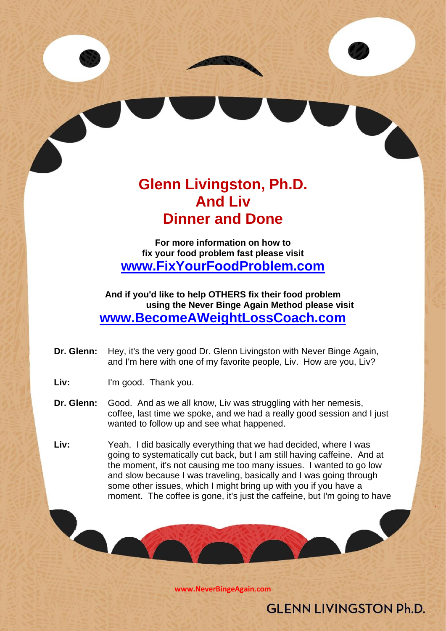# **Glenn Livingston, Ph.D. And Liv Dinner and Done**

**For more information on how to fix your food problem fast please visit [www.FixYourFoodProblem.com](http://www.fixyourfoodproblem.com/)**

**And if you'd like to help OTHERS fix their food problem using the Never Binge Again Method please visit [www.BecomeAWeightLossCoach.com](http://www.becomeaweightlosscoach.com/)**

- **Dr. Glenn:** Hey, it's the very good Dr. Glenn Livingston with Never Binge Again, and I'm here with one of my favorite people, Liv. How are you, Liv?
- Liv: I'm good. Thank you.
- **Dr. Glenn:** Good. And as we all know, Liv was struggling with her nemesis, coffee, last time we spoke, and we had a really good session and I just wanted to follow up and see what happened.
- **Liv:** Yeah. I did basically everything that we had decided, where I was going to systematically cut back, but I am still having caffeine. And at the moment, it's not causing me too many issues. I wanted to go low and slow because I was traveling, basically and I was going through some other issues, which I might bring up with you if you have a moment. The coffee is gone, it's just the caffeine, but I'm going to have

**[www.NeverBingeAgain.com](http://www.neverbingeagain.com/)**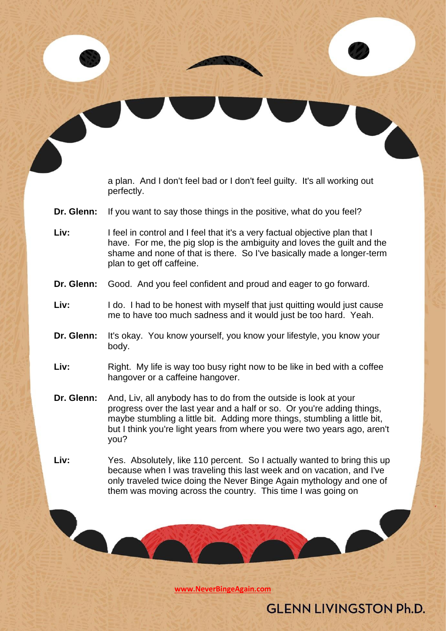a plan. And I don't feel bad or I don't feel guilty. It's all working out perfectly.

- **Dr. Glenn:** If you want to say those things in the positive, what do you feel?
- Liv: I feel in control and I feel that it's a very factual objective plan that I have. For me, the pig slop is the ambiguity and loves the guilt and the shame and none of that is there. So I've basically made a longer-term plan to get off caffeine.
- **Dr. Glenn:** Good. And you feel confident and proud and eager to go forward.
- Liv: I do. I had to be honest with myself that just quitting would just cause me to have too much sadness and it would just be too hard. Yeah.
- **Dr. Glenn:** It's okay. You know yourself, you know your lifestyle, you know your body.
- Liv: Right. My life is way too busy right now to be like in bed with a coffee hangover or a caffeine hangover.
- **Dr. Glenn:** And, Liv, all anybody has to do from the outside is look at your progress over the last year and a half or so. Or you're adding things, maybe stumbling a little bit. Adding more things, stumbling a little bit, but I think you're light years from where you were two years ago, aren't you?
- **Liv:** Yes. Absolutely, like 110 percent. So I actually wanted to bring this up because when I was traveling this last week and on vacation, and I've only traveled twice doing the Never Binge Again mythology and one of them was moving across the country. This time I was going on

**[www.NeverBingeAgain.com](http://www.neverbingeagain.com/)**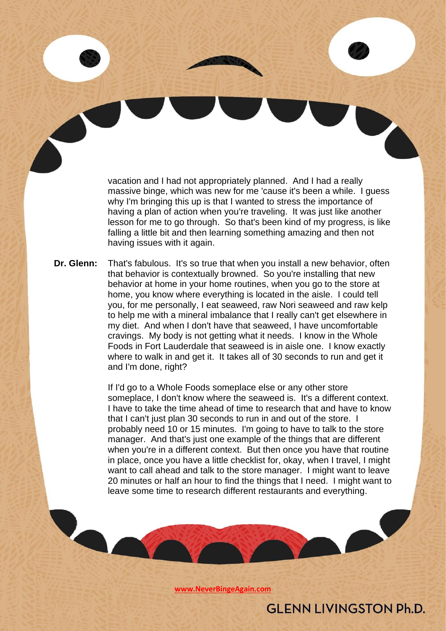vacation and I had not appropriately planned. And I had a really massive binge, which was new for me 'cause it's been a while. I guess why I'm bringing this up is that I wanted to stress the importance of having a plan of action when you're traveling. It was just like another lesson for me to go through. So that's been kind of my progress, is like falling a little bit and then learning something amazing and then not having issues with it again.

**Dr. Glenn:** That's fabulous. It's so true that when you install a new behavior, often that behavior is contextually browned. So you're installing that new behavior at home in your home routines, when you go to the store at home, you know where everything is located in the aisle. I could tell you, for me personally, I eat seaweed, raw Nori seaweed and raw kelp to help me with a mineral imbalance that I really can't get elsewhere in my diet. And when I don't have that seaweed, I have uncomfortable cravings. My body is not getting what it needs. I know in the Whole Foods in Fort Lauderdale that seaweed is in aisle one. I know exactly where to walk in and get it. It takes all of 30 seconds to run and get it and I'm done, right?

> If I'd go to a Whole Foods someplace else or any other store someplace, I don't know where the seaweed is. It's a different context. I have to take the time ahead of time to research that and have to know that I can't just plan 30 seconds to run in and out of the store. I probably need 10 or 15 minutes. I'm going to have to talk to the store manager. And that's just one example of the things that are different when you're in a different context. But then once you have that routine in place, once you have a little checklist for, okay, when I travel, I might want to call ahead and talk to the store manager. I might want to leave 20 minutes or half an hour to find the things that I need. I might want to leave some time to research different restaurants and everything.

> > **[www.NeverBingeAgain.com](http://www.neverbingeagain.com/)**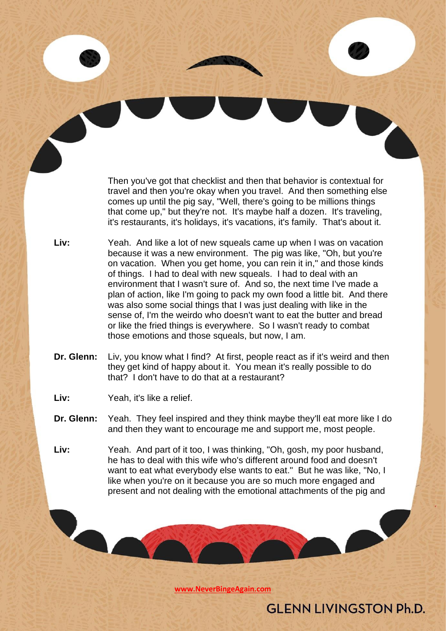Then you've got that checklist and then that behavior is contextual for travel and then you're okay when you travel. And then something else comes up until the pig say, "Well, there's going to be millions things that come up," but they're not. It's maybe half a dozen. It's traveling, it's restaurants, it's holidays, it's vacations, it's family. That's about it.

- **Liv:** Yeah. And like a lot of new squeals came up when I was on vacation because it was a new environment. The pig was like, "Oh, but you're on vacation. When you get home, you can rein it in," and those kinds of things. I had to deal with new squeals. I had to deal with an environment that I wasn't sure of. And so, the next time I've made a plan of action, like I'm going to pack my own food a little bit. And there was also some social things that I was just dealing with like in the sense of, I'm the weirdo who doesn't want to eat the butter and bread or like the fried things is everywhere. So I wasn't ready to combat those emotions and those squeals, but now, I am.
- **Dr. Glenn:** Liv, you know what I find? At first, people react as if it's weird and then they get kind of happy about it. You mean it's really possible to do that? I don't have to do that at a restaurant?
- **Liv:** Yeah, it's like a relief.
- **Dr. Glenn:** Yeah. They feel inspired and they think maybe they'll eat more like I do and then they want to encourage me and support me, most people.
- **Liv:** Yeah. And part of it too, I was thinking, "Oh, gosh, my poor husband, he has to deal with this wife who's different around food and doesn't want to eat what everybody else wants to eat." But he was like, "No, I like when you're on it because you are so much more engaged and present and not dealing with the emotional attachments of the pig and

**[www.NeverBingeAgain.com](http://www.neverbingeagain.com/)**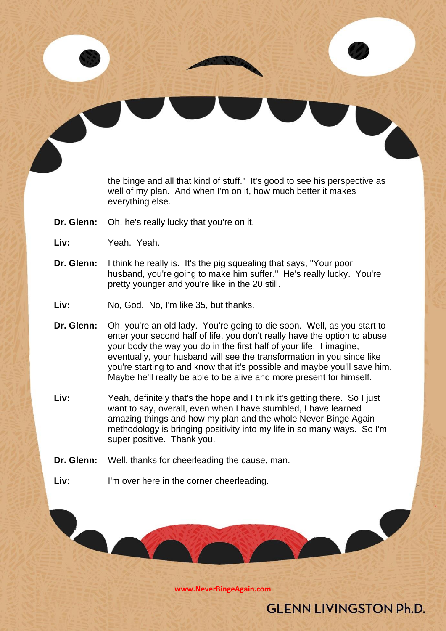the binge and all that kind of stuff." It's good to see his perspective as well of my plan. And when I'm on it, how much better it makes everything else.

- **Dr. Glenn:** Oh, he's really lucky that you're on it.
- **Liv:** Yeah. Yeah.
- **Dr. Glenn:** I think he really is. It's the pig squealing that says, "Your poor husband, you're going to make him suffer." He's really lucky. You're pretty younger and you're like in the 20 still.
- **Liv:** No, God. No, I'm like 35, but thanks.
- **Dr. Glenn:** Oh, you're an old lady. You're going to die soon. Well, as you start to enter your second half of life, you don't really have the option to abuse your body the way you do in the first half of your life. I imagine, eventually, your husband will see the transformation in you since like you're starting to and know that it's possible and maybe you'll save him. Maybe he'll really be able to be alive and more present for himself.
- **Liv:** Yeah, definitely that's the hope and I think it's getting there. So I just want to say, overall, even when I have stumbled, I have learned amazing things and how my plan and the whole Never Binge Again methodology is bringing positivity into my life in so many ways. So I'm super positive. Thank you.
- **Dr. Glenn:** Well, thanks for cheerleading the cause, man.
- Liv: I'm over here in the corner cheerleading.

**[www.NeverBingeAgain.com](http://www.neverbingeagain.com/)**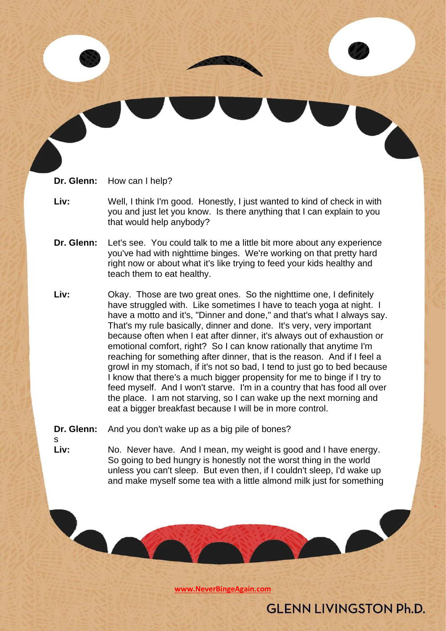**Dr. Glenn:** How can I help?

- **Liv:** Well, I think I'm good. Honestly, I just wanted to kind of check in with you and just let you know. Is there anything that I can explain to you that would help anybody?
- **Dr. Glenn:** Let's see. You could talk to me a little bit more about any experience you've had with nighttime binges. We're working on that pretty hard right now or about what it's like trying to feed your kids healthy and teach them to eat healthy.
- **Liv:** Okay. Those are two great ones. So the nighttime one, I definitely have struggled with. Like sometimes I have to teach yoga at night. I have a motto and it's, "Dinner and done," and that's what I always say. That's my rule basically, dinner and done. It's very, very important because often when I eat after dinner, it's always out of exhaustion or emotional comfort, right? So I can know rationally that anytime I'm reaching for something after dinner, that is the reason. And if I feel a growl in my stomach, if it's not so bad, I tend to just go to bed because I know that there's a much bigger propensity for me to binge if I try to feed myself. And I won't starve. I'm in a country that has food all over the place. I am not starving, so I can wake up the next morning and eat a bigger breakfast because I will be in more control.

**Dr. Glenn:** And you don't wake up as a big pile of bones?

s

**Liv:** No. Never have. And I mean, my weight is good and I have energy. So going to bed hungry is honestly not the worst thing in the world unless you can't sleep. But even then, if I couldn't sleep, I'd wake up and make myself some tea with a little almond milk just for something

**[www.NeverBingeAgain.com](http://www.neverbingeagain.com/)**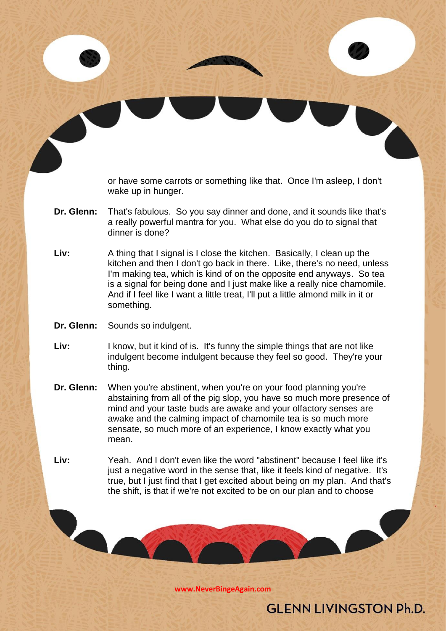or have some carrots or something like that. Once I'm asleep, I don't wake up in hunger.

- **Dr. Glenn:** That's fabulous. So you say dinner and done, and it sounds like that's a really powerful mantra for you. What else do you do to signal that dinner is done?
- **Liv:** A thing that I signal is I close the kitchen. Basically, I clean up the kitchen and then I don't go back in there. Like, there's no need, unless I'm making tea, which is kind of on the opposite end anyways. So tea is a signal for being done and I just make like a really nice chamomile. And if I feel like I want a little treat, I'll put a little almond milk in it or something.
- **Dr. Glenn:** Sounds so indulgent.

- **Liv:** I know, but it kind of is. It's funny the simple things that are not like indulgent become indulgent because they feel so good. They're your thing.
- **Dr. Glenn:** When you're abstinent, when you're on your food planning you're abstaining from all of the pig slop, you have so much more presence of mind and your taste buds are awake and your olfactory senses are awake and the calming impact of chamomile tea is so much more sensate, so much more of an experience, I know exactly what you mean.
- **Liv:** Yeah. And I don't even like the word "abstinent" because I feel like it's just a negative word in the sense that, like it feels kind of negative. It's true, but I just find that I get excited about being on my plan. And that's the shift, is that if we're not excited to be on our plan and to choose

**[www.NeverBingeAgain.com](http://www.neverbingeagain.com/)**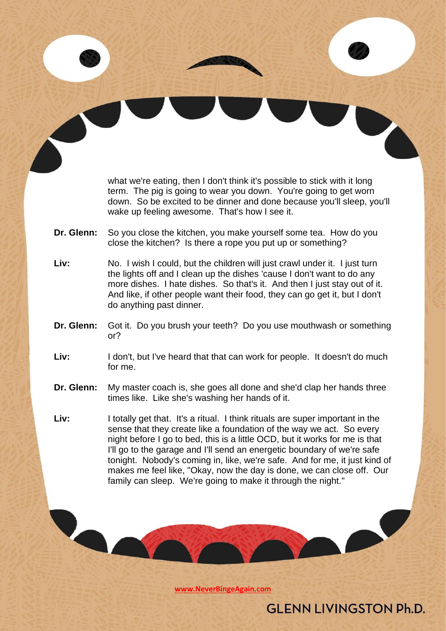what we're eating, then I don't think it's possible to stick with it long term. The pig is going to wear you down. You're going to get worn down. So be excited to be dinner and done because you'll sleep, you'll wake up feeling awesome. That's how I see it.

- **Dr. Glenn:** So you close the kitchen, you make yourself some tea. How do you close the kitchen? Is there a rope you put up or something?
- **Liv:** No. I wish I could, but the children will just crawl under it. I just turn the lights off and I clean up the dishes 'cause I don't want to do any more dishes. I hate dishes. So that's it. And then I just stay out of it. And like, if other people want their food, they can go get it, but I don't do anything past dinner.
- **Dr. Glenn:** Got it. Do you brush your teeth? Do you use mouthwash or something or?
- Liv: I don't, but I've heard that that can work for people. It doesn't do much for me.
- **Dr. Glenn:** My master coach is, she goes all done and she'd clap her hands three times like. Like she's washing her hands of it.
- **Liv:** I totally get that. It's a ritual. I think rituals are super important in the sense that they create like a foundation of the way we act. So every night before I go to bed, this is a little OCD, but it works for me is that I'll go to the garage and I'll send an energetic boundary of we're safe tonight. Nobody's coming in, like, we're safe. And for me, it just kind of makes me feel like, "Okay, now the day is done, we can close off. Our family can sleep. We're going to make it through the night."

**[www.NeverBingeAgain.com](http://www.neverbingeagain.com/)**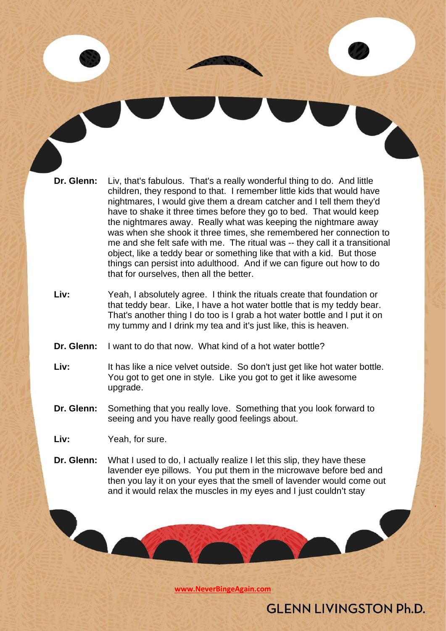- **Dr. Glenn:** Liv, that's fabulous. That's a really wonderful thing to do. And little children, they respond to that. I remember little kids that would have nightmares, I would give them a dream catcher and I tell them they'd have to shake it three times before they go to bed. That would keep the nightmares away. Really what was keeping the nightmare away was when she shook it three times, she remembered her connection to me and she felt safe with me. The ritual was -- they call it a transitional object, like a teddy bear or something like that with a kid. But those things can persist into adulthood. And if we can figure out how to do that for ourselves, then all the better.
- **Liv:** Yeah, I absolutely agree. I think the rituals create that foundation or that teddy bear. Like, I have a hot water bottle that is my teddy bear. That's another thing I do too is I grab a hot water bottle and I put it on my tummy and I drink my tea and it's just like, this is heaven.
- **Dr. Glenn:** I want to do that now. What kind of a hot water bottle?
- Liv: It has like a nice velvet outside. So don't just get like hot water bottle. You got to get one in style. Like you got to get it like awesome upgrade.
- **Dr. Glenn:** Something that you really love. Something that you look forward to seeing and you have really good feelings about.
- **Liv:** Yeah, for sure.
- **Dr. Glenn:** What I used to do, I actually realize I let this slip, they have these lavender eye pillows. You put them in the microwave before bed and then you lay it on your eyes that the smell of lavender would come out and it would relax the muscles in my eyes and I just couldn't stay

**[www.NeverBingeAgain.com](http://www.neverbingeagain.com/)**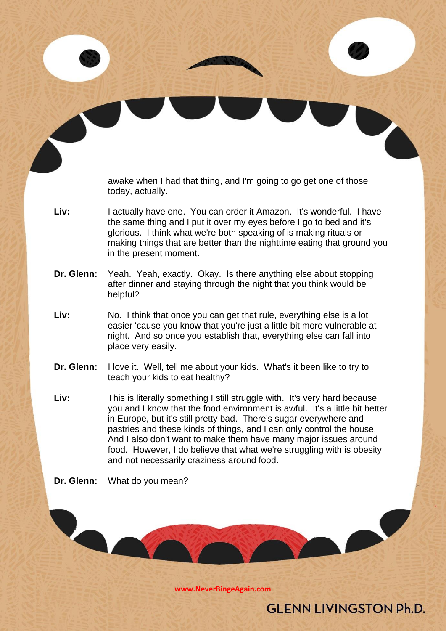awake when I had that thing, and I'm going to go get one of those today, actually.

- **Liv:** I actually have one. You can order it Amazon. It's wonderful. I have the same thing and I put it over my eyes before I go to bed and it's glorious. I think what we're both speaking of is making rituals or making things that are better than the nighttime eating that ground you in the present moment.
- **Dr. Glenn:** Yeah. Yeah, exactly. Okay. Is there anything else about stopping after dinner and staying through the night that you think would be helpful?
- Liv: No. I think that once you can get that rule, everything else is a lot easier 'cause you know that you're just a little bit more vulnerable at night. And so once you establish that, everything else can fall into place very easily.
- **Dr. Glenn:** I love it. Well, tell me about your kids. What's it been like to try to teach your kids to eat healthy?
- **Liv:** This is literally something I still struggle with. It's very hard because you and I know that the food environment is awful. It's a little bit better in Europe, but it's still pretty bad. There's sugar everywhere and pastries and these kinds of things, and I can only control the house. And I also don't want to make them have many major issues around food. However, I do believe that what we're struggling with is obesity and not necessarily craziness around food.
- **Dr. Glenn:** What do you mean?

**[www.NeverBingeAgain.com](http://www.neverbingeagain.com/)**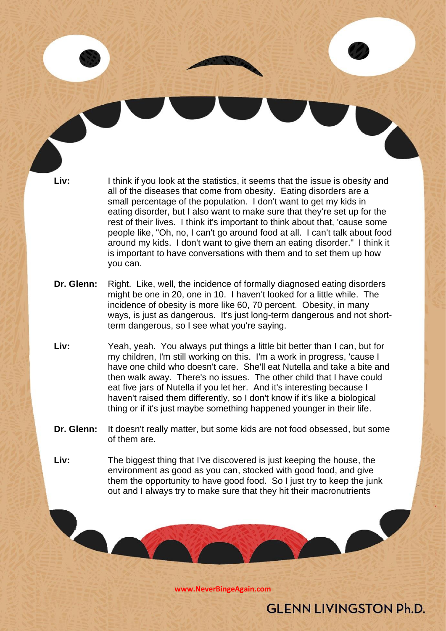Liv: I think if you look at the statistics, it seems that the issue is obesity and all of the diseases that come from obesity. Eating disorders are a small percentage of the population. I don't want to get my kids in eating disorder, but I also want to make sure that they're set up for the rest of their lives. I think it's important to think about that, 'cause some people like, "Oh, no, I can't go around food at all. I can't talk about food around my kids. I don't want to give them an eating disorder." I think it is important to have conversations with them and to set them up how you can.

- **Dr. Glenn:** Right. Like, well, the incidence of formally diagnosed eating disorders might be one in 20, one in 10. I haven't looked for a little while. The incidence of obesity is more like 60, 70 percent. Obesity, in many ways, is just as dangerous. It's just long-term dangerous and not shortterm dangerous, so I see what you're saying.
- **Liv:** Yeah, yeah. You always put things a little bit better than I can, but for my children, I'm still working on this. I'm a work in progress, 'cause I have one child who doesn't care. She'll eat Nutella and take a bite and then walk away. There's no issues. The other child that I have could eat five jars of Nutella if you let her. And it's interesting because I haven't raised them differently, so I don't know if it's like a biological thing or if it's just maybe something happened younger in their life.
- **Dr. Glenn:** It doesn't really matter, but some kids are not food obsessed, but some of them are.
- **Liv:** The biggest thing that I've discovered is just keeping the house, the environment as good as you can, stocked with good food, and give them the opportunity to have good food. So I just try to keep the junk out and I always try to make sure that they hit their macronutrients

**[www.NeverBingeAgain.com](http://www.neverbingeagain.com/)**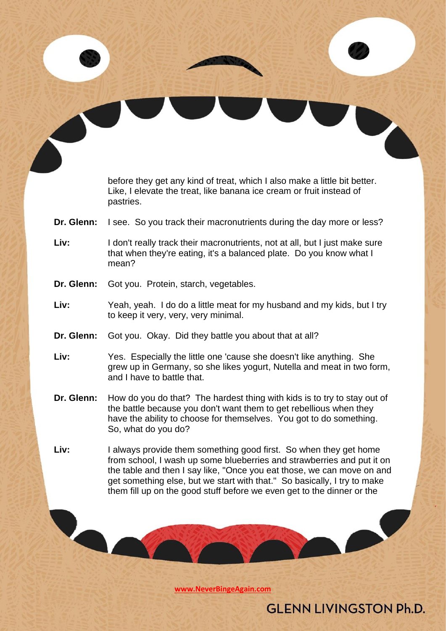|            | before they get any kind of treat, which I also make a little bit better.<br>Like, I elevate the treat, like banana ice cream or fruit instead of<br>pastries.                                                                                                                                    |
|------------|---------------------------------------------------------------------------------------------------------------------------------------------------------------------------------------------------------------------------------------------------------------------------------------------------|
| Dr. Glenn: | I see. So you track their macronutrients during the day more or less?                                                                                                                                                                                                                             |
| Liv:       | I don't really track their macronutrients, not at all, but I just make sure<br>that when they're eating, it's a balanced plate. Do you know what I<br>mean?                                                                                                                                       |
| Dr. Glenn: | Got you. Protein, starch, vegetables.                                                                                                                                                                                                                                                             |
| Liv:       | Yeah, yeah. I do do a little meat for my husband and my kids, but I try<br>to keep it very, very, very minimal.                                                                                                                                                                                   |
| Dr. Glenn: | Got you. Okay. Did they battle you about that at all?                                                                                                                                                                                                                                             |
| Liv:       | Yes. Especially the little one 'cause she doesn't like anything. She<br>grew up in Germany, so she likes yogurt, Nutella and meat in two form,<br>and I have to battle that.                                                                                                                      |
| Dr. Glenn: | How do you do that? The hardest thing with kids is to try to stay out of<br>the battle because you don't want them to get rebellious when they<br>have the ability to choose for themselves. You got to do something.<br>So, what do you do?                                                      |
| Liv:       | I always provide them something good first. So when they get home<br>from school, I wash up some blueberries and strawberries and put it on<br>the table and then I say like, "Once you eat those, we can move on and<br>get something else, but we start with that." So basically, I try to make |

**[www.NeverBingeAgain.com](http://www.neverbingeagain.com/)**

V

them fill up on the good stuff before we even get to the dinner or the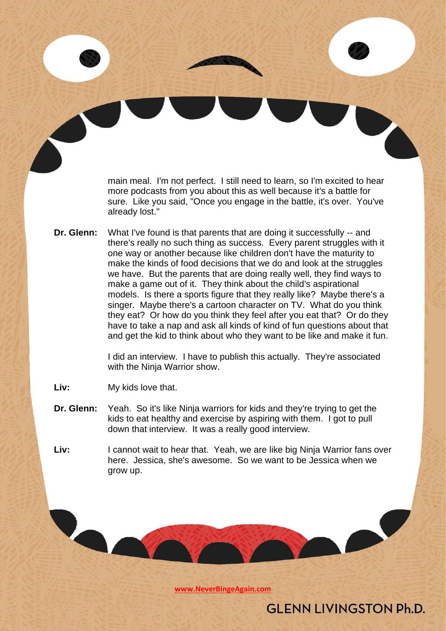main meal. I'm not perfect. I still need to learn, so I'm excited to hear more podcasts from you about this as well because it's a battle for sure. Like you said, "Once you engage in the battle, it's over. You've already lost."

**Dr. Glenn:** What I've found is that parents that are doing it successfully -- and there's really no such thing as success. Every parent struggles with it one way or another because like children don't have the maturity to make the kinds of food decisions that we do and look at the struggles we have. But the parents that are doing really well, they find ways to make a game out of it. They think about the child's aspirational models. Is there a sports figure that they really like? Maybe there's a singer. Maybe there's a cartoon character on TV. What do you think they eat? Or how do you think they feel after you eat that? Or do they have to take a nap and ask all kinds of kind of fun questions about that and get the kid to think about who they want to be like and make it fun.

> I did an interview. I have to publish this actually. They're associated with the Ninja Warrior show.

- **Liv:** My kids love that.
- **Dr. Glenn:** Yeah. So it's like Ninja warriors for kids and they're trying to get the kids to eat healthy and exercise by aspiring with them. I got to pull down that interview. It was a really good interview.
- **Liv:** I cannot wait to hear that. Yeah, we are like big Ninja Warrior fans over here. Jessica, she's awesome. So we want to be Jessica when we grow up.

**[www.NeverBingeAgain.com](http://www.neverbingeagain.com/)**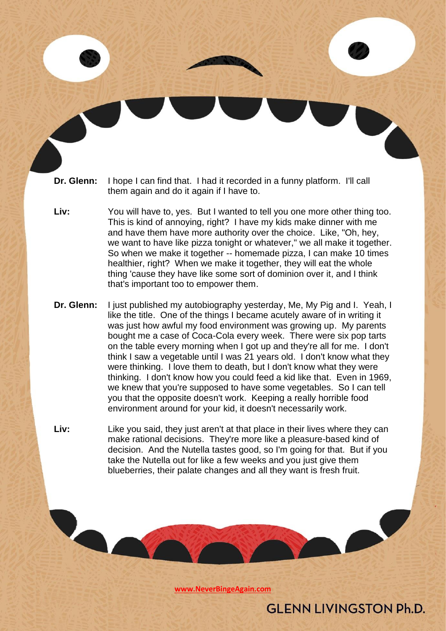- **Dr. Glenn:** I hope I can find that. I had it recorded in a funny platform. I'll call them again and do it again if I have to.
- **Liv:** You will have to, yes. But I wanted to tell you one more other thing too. This is kind of annoying, right? I have my kids make dinner with me and have them have more authority over the choice. Like, "Oh, hey, we want to have like pizza tonight or whatever," we all make it together. So when we make it together -- homemade pizza, I can make 10 times healthier, right? When we make it together, they will eat the whole thing 'cause they have like some sort of dominion over it, and I think that's important too to empower them.
- **Dr. Glenn:** I just published my autobiography yesterday, Me, My Pig and I. Yeah, I like the title. One of the things I became acutely aware of in writing it was just how awful my food environment was growing up. My parents bought me a case of Coca-Cola every week. There were six pop tarts on the table every morning when I got up and they're all for me. I don't think I saw a vegetable until I was 21 years old. I don't know what they were thinking. I love them to death, but I don't know what they were thinking. I don't know how you could feed a kid like that. Even in 1969, we knew that you're supposed to have some vegetables. So I can tell you that the opposite doesn't work. Keeping a really horrible food environment around for your kid, it doesn't necessarily work.
- **Liv:** Like you said, they just aren't at that place in their lives where they can make rational decisions. They're more like a pleasure-based kind of decision. And the Nutella tastes good, so I'm going for that. But if you take the Nutella out for like a few weeks and you just give them blueberries, their palate changes and all they want is fresh fruit.

**[www.NeverBingeAgain.com](http://www.neverbingeagain.com/)**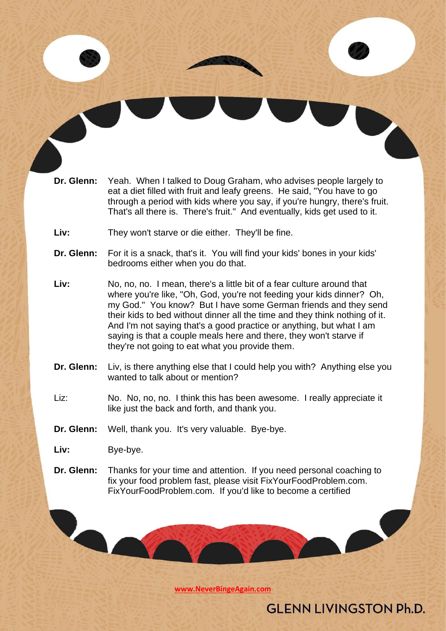- **Dr. Glenn:** Yeah. When I talked to Doug Graham, who advises people largely to eat a diet filled with fruit and leafy greens. He said, "You have to go through a period with kids where you say, if you're hungry, there's fruit. That's all there is. There's fruit." And eventually, kids get used to it.
- **Liv:** They won't starve or die either. They'll be fine.
- **Dr. Glenn:** For it is a snack, that's it. You will find your kids' bones in your kids' bedrooms either when you do that.
- **Liv:** No, no, no. I mean, there's a little bit of a fear culture around that where you're like, "Oh, God, you're not feeding your kids dinner? Oh, my God." You know? But I have some German friends and they send their kids to bed without dinner all the time and they think nothing of it. And I'm not saying that's a good practice or anything, but what I am saying is that a couple meals here and there, they won't starve if they're not going to eat what you provide them.
- **Dr. Glenn:** Liv, is there anything else that I could help you with? Anything else you wanted to talk about or mention?
- Liz: No. No, no, no. I think this has been awesome. I really appreciate it like just the back and forth, and thank you.
- **Dr. Glenn:** Well, thank you. It's very valuable. Bye-bye.

- Liv: Bye-bye.
- **Dr. Glenn:** Thanks for your time and attention. If you need personal coaching to fix your food problem fast, please visit FixYourFoodProblem.com. FixYourFoodProblem.com. If you'd like to become a certified

**[www.NeverBingeAgain.com](http://www.neverbingeagain.com/)**